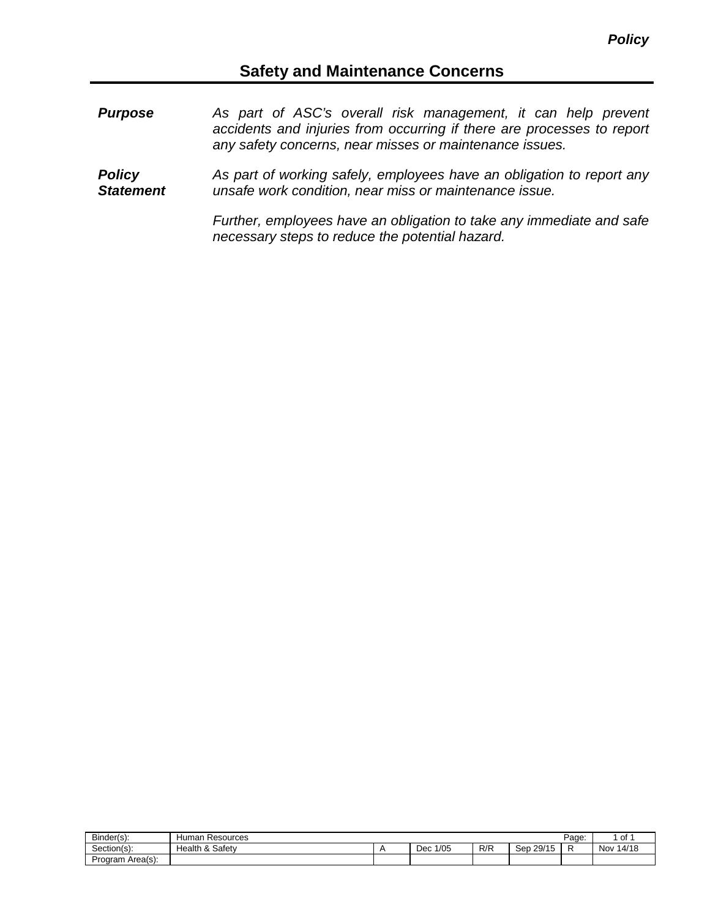## **Safety and Maintenance Concerns**

*Purpose As part of ASC's overall risk management, it can help prevent accidents and injuries from occurring if there are processes to report any safety concerns, near misses or maintenance issues. Policy Statement As part of working safely, employees have an obligation to report any unsafe work condition, near miss or maintenance issue.*

> *Further, employees have an obligation to take any immediate and safe necessary steps to reduce the potential hazard.*

| Binder(s):            | Human<br>Resources                |             |     |              | Page: | 01           |
|-----------------------|-----------------------------------|-------------|-----|--------------|-------|--------------|
| $\sim$<br>Section(s): | Safety<br>$\Omega$<br>Health<br>ື | 1/05<br>Dec | R/R | 29/15<br>Sep |       | 14/18<br>Nov |
| Program<br>Area(s):   |                                   |             |     |              |       |              |